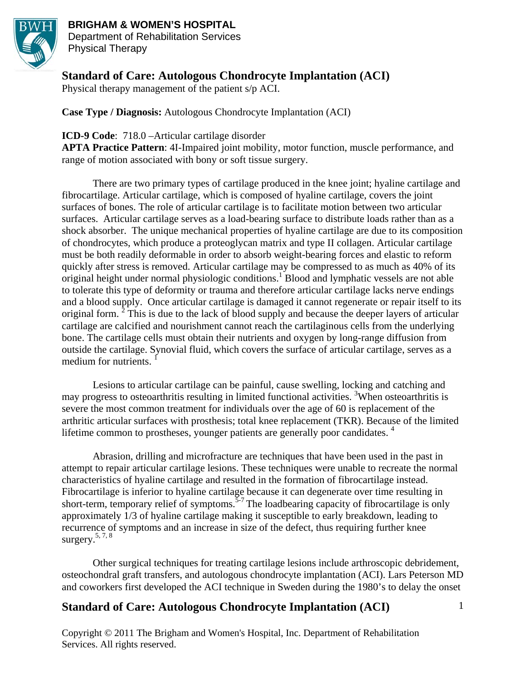

# **BRIGHAM & WOMEN'S HOSPITAL**

Department of Rehabilitation Services Physical Therapy

### **Standard of Care: Autologous Chondrocyte Implantation (ACI)**

Physical therapy management of the patient s/p ACI.

**Case Type / Diagnosis:** Autologous Chondrocyte Implantation (ACI)

#### **ICD-9 Code**: 718.0 –Articular cartilage disorder

**APTA Practice Pattern**: 4I-Impaired joint mobility, motor function, muscle performance, and range of motion associated with bony or soft tissue surgery.

There are two primary types of cartilage produced in the knee joint; hyaline cartilage and fibrocartilage. Articular cartilage, which is composed of hyaline cartilage, covers the joint surfaces of bones. The role of articular cartilage is to facilitate motion between two articular surfaces. Articular cartilage serves as a load-bearing surface to distribute loads rather than as a shock absorber. The unique mechanical properties of hyaline cartilage are due to its composition of chondrocytes, which produce a proteoglycan matrix and type II collagen. Articular cartilage must be both readily deformable in order to absorb weight-bearing forces and elastic to reform quickly after stress is removed. Articular cartilage may be compressed to as much as 40% of its  $\alpha$ iginal height under normal physiologic conditions.<sup>1</sup> Blood and lymphatic vessels are not able to tolerate this type of deformity or trauma and therefore articular cartilage lacks nerve endings and a blood supply. Once articular cartilage is damaged it cannot regenerate or repair itself to its original form.  $2^{2}$  This is due to the lack of blood supply and because the deeper layers of articular cartilage are calcified and nourishment cannot reach the cartilaginous cells from the underlying bone. The cartilage cells must obtain their nutrients and oxygen by long-range diffusion from outside the cartilage. Synovial fluid, which covers the surface of articular cartilage, serves as a medium for nutrients.  $<sup>1</sup>$ </sup>

Lesions to articular cartilage can be painful, cause swelling, locking and catching and may progress to osteoarthritis resulting in limited functional activities. <sup>3</sup>When osteoarthritis is severe the most common treatment for individuals over the age of 60 is replacement of the arthritic articular surfaces with prosthesis; total knee replacement (TKR). Because of the limited lifetime common to prostheses, younger patients are generally poor candidates.<sup>4</sup>

 Abrasion, drilling and microfracture are techniques that have been used in the past in attempt to repair articular cartilage lesions. These techniques were unable to recreate the normal characteristics of hyaline cartilage and resulted in the formation of fibrocartilage instead. Fibrocartilage is inferior to hyaline cartilage because it can degenerate over time resulting in short-term, temporary relief of symptoms.<sup> $5-7$ </sup> The loadbearing capacity of fibrocartilage is only approximately 1/3 of hyaline cartilage making it susceptible to early breakdown, leading to recurrence of symptoms and an increase in size of the defect, thus requiring further knee surgery. $5, 7, 8$ 

Other surgical techniques for treating cartilage lesions include arthroscopic debridement, osteochondral graft transfers, and autologous chondrocyte implantation (ACI). Lars Peterson MD and coworkers first developed the ACI technique in Sweden during the 1980's to delay the onset

1

## **Standard of Care: Autologous Chondrocyte Implantation (ACI)**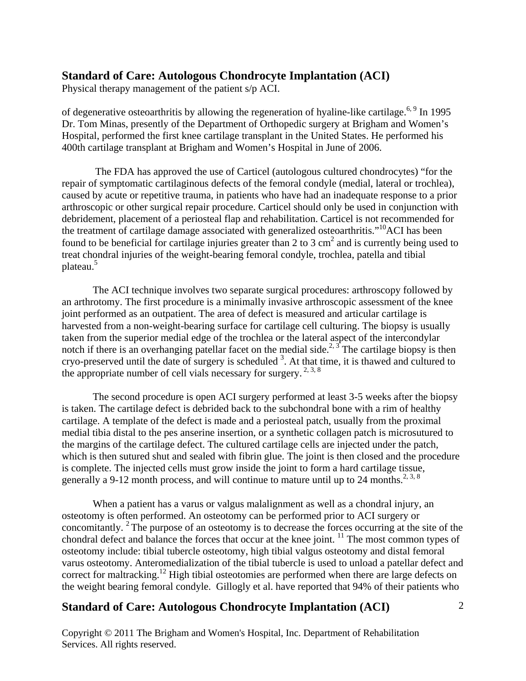Physical therapy management of the patient s/p ACI.

of degenerative osteoarthritis by allowing the regeneration of hyaline-like cartilage.<sup>6, 9</sup> In 1995 Dr. Tom Minas, presently of the Department of Orthopedic surgery at Brigham and Women's Hospital, performed the first knee cartilage transplant in the United States. He performed his 400th cartilage transplant at Brigham and Women's Hospital in June of 2006.

 The FDA has approved the use of Carticel (autologous cultured chondrocytes) "for the repair of symptomatic cartilaginous defects of the femoral condyle (medial, lateral or trochlea), caused by acute or repetitive trauma, in patients who have had an inadequate response to a prior arthroscopic or other surgical repair procedure. Carticel should only be used in conjunction with debridement, placement of a periosteal flap and rehabilitation. Carticel is not recommended for the treatment of cartilage damage associated with generalized osteoarthritis."10ACI has been found to be beneficial for cartilage injuries greater than 2 to 3  $\text{cm}^2$  and is currently being used to treat chondral injuries of the weight-bearing femoral condyle, trochlea, patella and tibial plateau.<sup>5</sup>

 The ACI technique involves two separate surgical procedures: arthroscopy followed by an arthrotomy. The first procedure is a minimally invasive arthroscopic assessment of the knee joint performed as an outpatient. The area of defect is measured and articular cartilage is harvested from a non-weight-bearing surface for cartilage cell culturing. The biopsy is usually taken from the superior medial edge of the trochlea or the lateral aspect of the intercondylar notch if there is an overhanging patellar facet on the medial side.<sup>2, 3</sup> The cartilage biopsy is then cryo-preserved until the date of surgery is scheduled<sup>3</sup>. At that time, it is thawed and cultured to the appropriate number of cell vials necessary for surgery.  $2,3,8$ 

The second procedure is open ACI surgery performed at least 3-5 weeks after the biopsy is taken. The cartilage defect is debrided back to the subchondral bone with a rim of healthy cartilage. A template of the defect is made and a periosteal patch, usually from the proximal medial tibia distal to the pes anserine insertion, or a synthetic collagen patch is microsutured to the margins of the cartilage defect. The cultured cartilage cells are injected under the patch, which is then sutured shut and sealed with fibrin glue. The joint is then closed and the procedure is complete. The injected cells must grow inside the joint to form a hard cartilage tissue, generally a 9-12 month process, and will continue to mature until up to 24 months.<sup>2, 3, 8</sup>

When a patient has a varus or valgus malalignment as well as a chondral injury, an osteotomy is often performed. An osteotomy can be performed prior to ACI surgery or concomitantly. 2 The purpose of an osteotomy is to decrease the forces occurring at the site of the chondral defect and balance the forces that occur at the knee joint. <sup>11</sup> The most common types of osteotomy include: tibial tubercle osteotomy, high tibial valgus osteotomy and distal femoral varus osteotomy. Anteromedialization of the tibial tubercle is used to unload a patellar defect and correct for maltracking.<sup>12</sup> High tibial osteotomies are performed when there are large defects on the weight bearing femoral condyle. Gillogly et al. have reported that 94% of their patients who

## **Standard of Care: Autologous Chondrocyte Implantation (ACI)**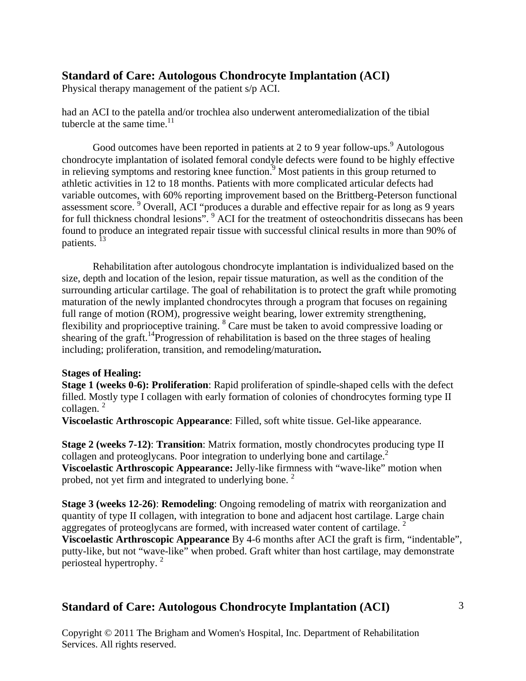Physical therapy management of the patient s/p ACI.

had an ACI to the patella and/or trochlea also underwent anteromedialization of the tibial tubercle at the same time. $11$ 

Good outcomes have been reported in patients at 2 to 9 year follow-ups.  $9^9$  Autologous chondrocyte implantation of isolated femoral condyle defects were found to be highly effective in relieving symptoms and restoring knee function.<sup>9</sup> Most patients in this group returned to athletic activities in 12 to 18 months. Patients with more complicated articular defects had variable outcomes, with 60% reporting improvement based on the Brittberg-Peterson functional assessment score. <sup>9</sup> Overall, ACI "produces a durable and effective repair for as long as 9 years for full thickness chondral lesions". <sup>9</sup> ACI for the treatment of osteochondritis dissecans has been found to produce an integrated repair tissue with successful clinical results in more than 90% of patients.<sup>13</sup>

Rehabilitation after autologous chondrocyte implantation is individualized based on the size, depth and location of the lesion, repair tissue maturation, as well as the condition of the surrounding articular cartilage. The goal of rehabilitation is to protect the graft while promoting maturation of the newly implanted chondrocytes through a program that focuses on regaining full range of motion (ROM), progressive weight bearing, lower extremity strengthening, flexibility and proprioceptive training. <sup>8</sup> Care must be taken to avoid compressive loading or shearing of the graft.<sup>14</sup>Progression of rehabilitation is based on the three stages of healing including; proliferation, transition, and remodeling/maturation**.** 

#### **Stages of Healing:**

**Stage 1 (weeks 0-6): Proliferation**: Rapid proliferation of spindle-shaped cells with the defect filled. Mostly type I collagen with early formation of colonies of chondrocytes forming type II collagen.<sup>2</sup>

**Viscoelastic Arthroscopic Appearance**: Filled, soft white tissue. Gel-like appearance.

**Stage 2 (weeks 7-12)**: **Transition**: Matrix formation, mostly chondrocytes producing type II collagen and proteoglycans. Poor integration to underlying bone and cartilage.<sup>2</sup> **Viscoelastic Arthroscopic Appearance:** Jelly-like firmness with "wave-like" motion when probed, not yet firm and integrated to underlying bone.<sup>2</sup>

**Stage 3 (weeks 12-26)**: **Remodeling**: Ongoing remodeling of matrix with reorganization and quantity of type II collagen, with integration to bone and adjacent host cartilage. Large chain aggregates of proteoglycans are formed, with increased water content of cartilage.  $2^{\circ}$ **Viscoelastic Arthroscopic Appearance** By 4-6 months after ACI the graft is firm, "indentable",

putty-like, but not "wave-like" when probed. Graft whiter than host cartilage, may demonstrate periosteal hypertrophy. 2

### **Standard of Care: Autologous Chondrocyte Implantation (ACI)**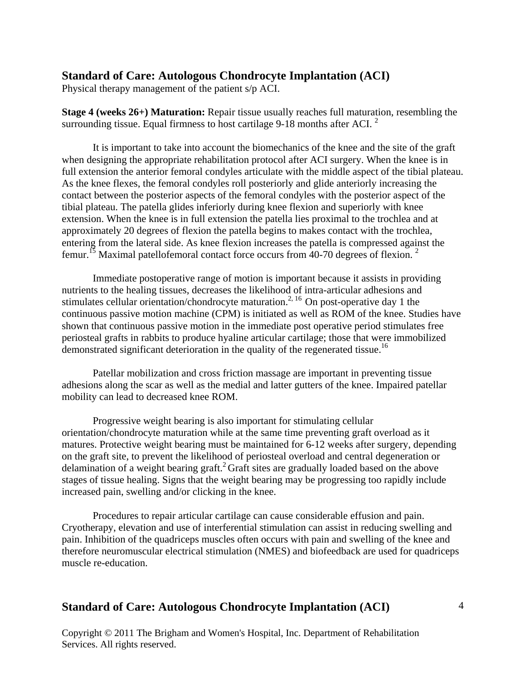Physical therapy management of the patient s/p ACI.

**Stage 4 (weeks 26+) Maturation:** Repair tissue usually reaches full maturation, resembling the surrounding tissue. Equal firmness to host cartilage 9-18 months after ACI.<sup>2</sup>

It is important to take into account the biomechanics of the knee and the site of the graft when designing the appropriate rehabilitation protocol after ACI surgery. When the knee is in full extension the anterior femoral condyles articulate with the middle aspect of the tibial plateau. As the knee flexes, the femoral condyles roll posteriorly and glide anteriorly increasing the contact between the posterior aspects of the femoral condyles with the posterior aspect of the tibial plateau. The patella glides inferiorly during knee flexion and superiorly with knee extension. When the knee is in full extension the patella lies proximal to the trochlea and at approximately 20 degrees of flexion the patella begins to makes contact with the trochlea, entering from the lateral side. As knee flexion increases the patella is compressed against the femur.<sup>15</sup> Maximal patellofemoral contact force occurs from 40-70 degrees of flexion.<sup>2</sup>

Immediate postoperative range of motion is important because it assists in providing nutrients to the healing tissues, decreases the likelihood of intra-articular adhesions and stimulates cellular orientation/chondrocyte maturation.<sup>2, 16</sup> On post-operative day 1 the continuous passive motion machine (CPM) is initiated as well as ROM of the knee. Studies have shown that continuous passive motion in the immediate post operative period stimulates free periosteal grafts in rabbits to produce hyaline articular cartilage; those that were immobilized demonstrated significant deterioration in the quality of the regenerated tissue.<sup>16</sup>

Patellar mobilization and cross friction massage are important in preventing tissue adhesions along the scar as well as the medial and latter gutters of the knee. Impaired patellar mobility can lead to decreased knee ROM.

Progressive weight bearing is also important for stimulating cellular orientation/chondrocyte maturation while at the same time preventing graft overload as it matures. Protective weight bearing must be maintained for 6-12 weeks after surgery, depending on the graft site, to prevent the likelihood of periosteal overload and central degeneration or delamination of a weight bearing graft.<sup>2</sup> Graft sites are gradually loaded based on the above stages of tissue healing. Signs that the weight bearing may be progressing too rapidly include increased pain, swelling and/or clicking in the knee.

Procedures to repair articular cartilage can cause considerable effusion and pain. Cryotherapy, elevation and use of interferential stimulation can assist in reducing swelling and pain. Inhibition of the quadriceps muscles often occurs with pain and swelling of the knee and therefore neuromuscular electrical stimulation (NMES) and biofeedback are used for quadriceps muscle re-education.

## **Standard of Care: Autologous Chondrocyte Implantation (ACI)**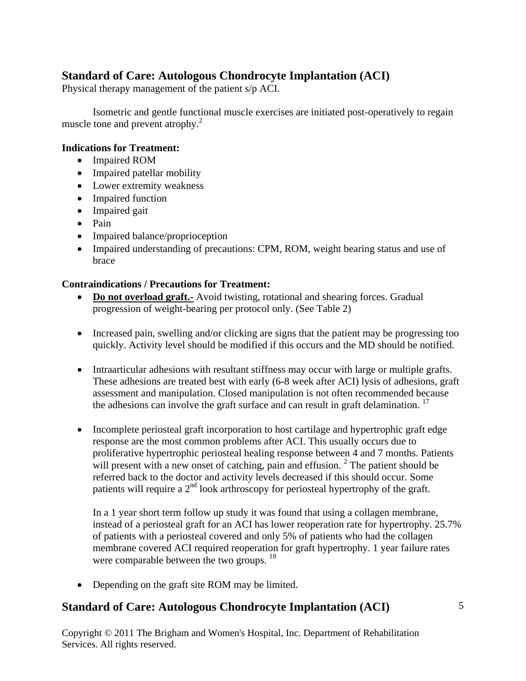Physical therapy management of the patient s/p ACI.

Isometric and gentle functional muscle exercises are initiated post-operatively to regain muscle tone and prevent atrophy.<sup>2</sup>

#### **Indications for Treatment:**

- Impaired ROM
- Impaired patellar mobility
- Lower extremity weakness
- Impaired function
- Impaired gait
- Pain
- Impaired balance/proprioception
- Impaired understanding of precautions: CPM, ROM, weight bearing status and use of brace

### **Contraindications / Precautions for Treatment:**

- **Do not overload graft.-** Avoid twisting, rotational and shearing forces. Gradual progression of weight-bearing per protocol only. (See Table 2)
- Increased pain, swelling and/or clicking are signs that the patient may be progressing too quickly. Activity level should be modified if this occurs and the MD should be notified.
- Intraarticular adhesions with resultant stiffness may occur with large or multiple grafts. These adhesions are treated best with early (6-8 week after ACI) lysis of adhesions, graft assessment and manipulation. Closed manipulation is not often recommended because the adhesions can involve the graft surface and can result in graft delamination.<sup>17</sup>
- Incomplete periosteal graft incorporation to host cartilage and hypertrophic graft edge response are the most common problems after ACI. This usually occurs due to proliferative hypertrophic periosteal healing response between 4 and 7 months. Patients will present with a new onset of catching, pain and effusion.<sup>2</sup> The patient should be referred back to the doctor and activity levels decreased if this should occur. Some patients will require a  $2<sup>nd</sup>$  look arthroscopy for periosteal hypertrophy of the graft.

In a 1 year short term follow up study it was found that using a collagen membrane, instead of a periosteal graft for an ACI has lower reoperation rate for hypertrophy. 25.7% of patients with a periosteal covered and only 5% of patients who had the collagen membrane covered ACI required reoperation for graft hypertrophy. 1 year failure rates were comparable between the two groups. <sup>18</sup>

• Depending on the graft site ROM may be limited.

## **Standard of Care: Autologous Chondrocyte Implantation (ACI)**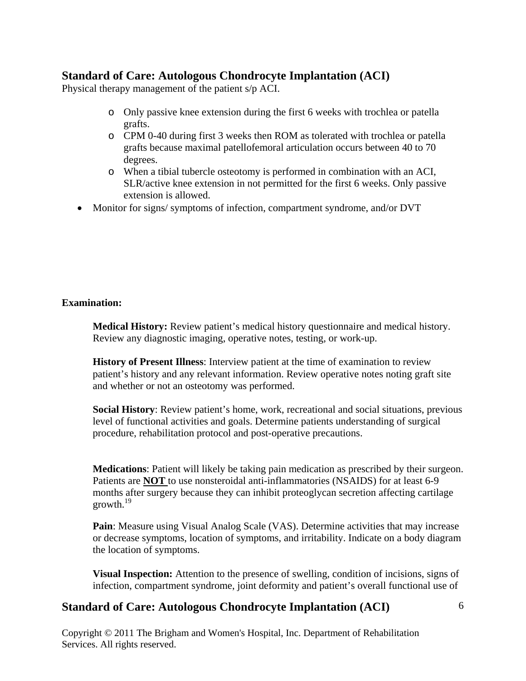Physical therapy management of the patient s/p ACI.

- o Only passive knee extension during the first 6 weeks with trochlea or patella grafts.
- o CPM 0-40 during first 3 weeks then ROM as tolerated with trochlea or patella grafts because maximal patellofemoral articulation occurs between 40 to 70 degrees.
- o When a tibial tubercle osteotomy is performed in combination with an ACI, SLR/active knee extension in not permitted for the first 6 weeks. Only passive extension is allowed.
- Monitor for signs/ symptoms of infection, compartment syndrome, and/or DVT

### **Examination:**

 **Medical History:** Review patient's medical history questionnaire and medical history. Review any diagnostic imaging, operative notes, testing, or work-up.

**History of Present Illness**: Interview patient at the time of examination to review patient's history and any relevant information. Review operative notes noting graft site and whether or not an osteotomy was performed.

**Social History**: Review patient's home, work, recreational and social situations, previous level of functional activities and goals. Determine patients understanding of surgical procedure, rehabilitation protocol and post-operative precautions.

**Medications**: Patient will likely be taking pain medication as prescribed by their surgeon. Patients are **NOT** to use nonsteroidal anti-inflammatories (NSAIDS) for at least 6-9 months after surgery because they can inhibit proteoglycan secretion affecting cartilage growth. $^{19}$ 

**Pain**: Measure using Visual Analog Scale (VAS). Determine activities that may increase or decrease symptoms, location of symptoms, and irritability. Indicate on a body diagram the location of symptoms.

**Visual Inspection:** Attention to the presence of swelling, condition of incisions, signs of infection, compartment syndrome, joint deformity and patient's overall functional use of

# **Standard of Care: Autologous Chondrocyte Implantation (ACI)**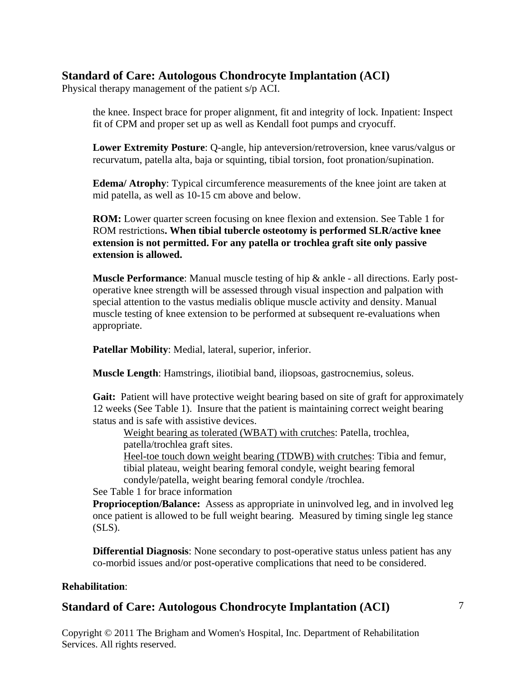Physical therapy management of the patient s/p ACI.

the knee. Inspect brace for proper alignment, fit and integrity of lock. Inpatient: Inspect fit of CPM and proper set up as well as Kendall foot pumps and cryocuff.

**Lower Extremity Posture**: Q-angle, hip anteversion/retroversion, knee varus/valgus or recurvatum, patella alta, baja or squinting, tibial torsion, foot pronation/supination.

**Edema/ Atrophy**: Typical circumference measurements of the knee joint are taken at mid patella, as well as 10-15 cm above and below.

**ROM:** Lower quarter screen focusing on knee flexion and extension. See Table 1 for ROM restrictions**. When tibial tubercle osteotomy is performed SLR/active knee extension is not permitted. For any patella or trochlea graft site only passive extension is allowed.** 

**Muscle Performance**: Manual muscle testing of hip & ankle - all directions. Early postoperative knee strength will be assessed through visual inspection and palpation with special attention to the vastus medialis oblique muscle activity and density. Manual muscle testing of knee extension to be performed at subsequent re-evaluations when appropriate.

 **Patellar Mobility**: Medial, lateral, superior, inferior.

**Muscle Length**: Hamstrings, iliotibial band, iliopsoas, gastrocnemius, soleus.

Gait: Patient will have protective weight bearing based on site of graft for approximately 12 weeks (See Table 1). Insure that the patient is maintaining correct weight bearing status and is safe with assistive devices.

Weight bearing as tolerated (WBAT) with crutches: Patella, trochlea, patella/trochlea graft sites.

 Heel-toe touch down weight bearing (TDWB) with crutches: Tibia and femur, tibial plateau, weight bearing femoral condyle, weight bearing femoral

condyle/patella, weight bearing femoral condyle /trochlea.

See Table 1 for brace information

**Proprioception/Balance:** Assess as appropriate in uninvolved leg, and in involved leg once patient is allowed to be full weight bearing. Measured by timing single leg stance  $(SLS)$ .

**Differential Diagnosis**: None secondary to post-operative status unless patient has any co-morbid issues and/or post-operative complications that need to be considered.

### **Rehabilitation**:

## **Standard of Care: Autologous Chondrocyte Implantation (ACI)**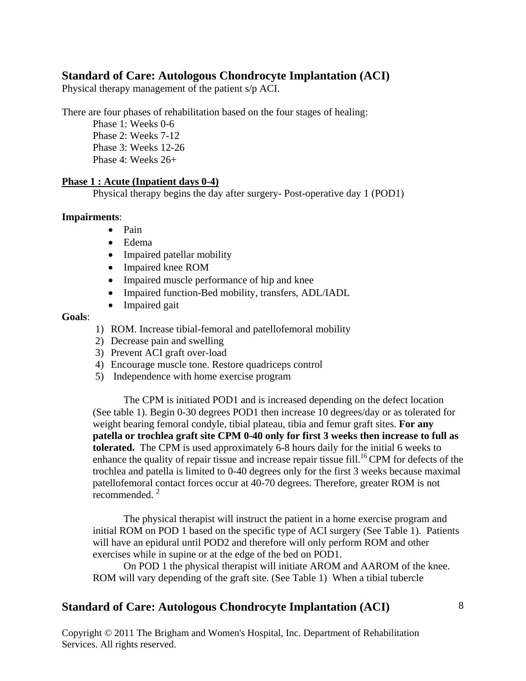Physical therapy management of the patient s/p ACI.

There are four phases of rehabilitation based on the four stages of healing:

Phase 1: Weeks 0-6 Phase 2: Weeks 7-12 Phase 3: Weeks 12-26 Phase 4: Weeks 26+

#### **Phase 1 : Acute (Inpatient days 0-4)**

Physical therapy begins the day after surgery- Post-operative day 1 (POD1)

#### **Impairments**:

- Pain
- Edema
- Impaired patellar mobility
- Impaired knee ROM
- Impaired muscle performance of hip and knee
- Impaired function-Bed mobility, transfers, ADL/IADL
- Impaired gait

#### **Goals**:

- 1) ROM. Increase tibial-femoral and patellofemoral mobility
- 2) Decrease pain and swelling
- 3) Prevent ACI graft over-load
- 4) Encourage muscle tone. Restore quadriceps control
- 5) Independence with home exercise program

The CPM is initiated POD1 and is increased depending on the defect location (See table 1). Begin 0-30 degrees POD1 then increase 10 degrees/day or as tolerated for weight bearing femoral condyle, tibial plateau, tibia and femur graft sites. **For any patella or trochlea graft site CPM 0-40 only for first 3 weeks then increase to full as tolerated.** The CPM is used approximately 6-8 hours daily for the initial 6 weeks to enhance the quality of repair tissue and increase repair tissue fill.<sup>16</sup> CPM for defects of the trochlea and patella is limited to 0-40 degrees only for the first 3 weeks because maximal patellofemoral contact forces occur at 40-70 degrees. Therefore, greater ROM is not recommended.<sup>2</sup>

The physical therapist will instruct the patient in a home exercise program and initial ROM on POD 1 based on the specific type of ACI surgery (See Table 1). Patients will have an epidural until POD2 and therefore will only perform ROM and other exercises while in supine or at the edge of the bed on POD1.

On POD 1 the physical therapist will initiate AROM and AAROM of the knee. ROM will vary depending of the graft site. (See Table 1)When a tibial tubercle

## **Standard of Care: Autologous Chondrocyte Implantation (ACI)**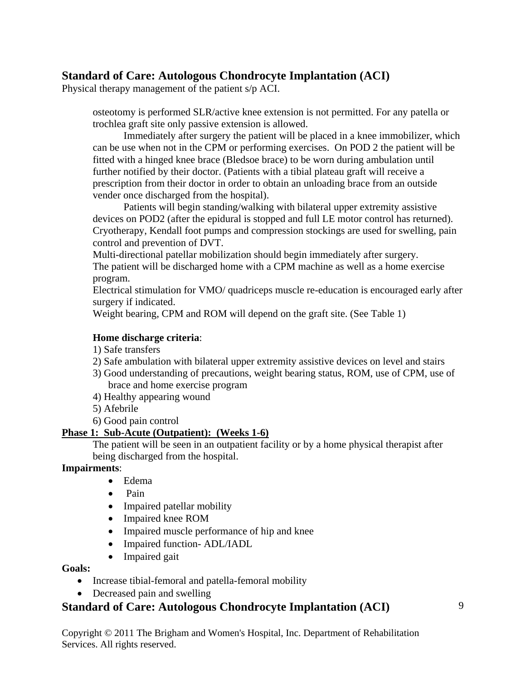Physical therapy management of the patient s/p ACI.

osteotomy is performed SLR/active knee extension is not permitted. For any patella or trochlea graft site only passive extension is allowed.

Immediately after surgery the patient will be placed in a knee immobilizer, which can be use when not in the CPM or performing exercises. On POD 2 the patient will be fitted with a hinged knee brace (Bledsoe brace) to be worn during ambulation until further notified by their doctor. (Patients with a tibial plateau graft will receive a prescription from their doctor in order to obtain an unloading brace from an outside vender once discharged from the hospital).

Patients will begin standing/walking with bilateral upper extremity assistive devices on POD2 (after the epidural is stopped and full LE motor control has returned). Cryotherapy, Kendall foot pumps and compression stockings are used for swelling, pain control and prevention of DVT.

Multi-directional patellar mobilization should begin immediately after surgery. The patient will be discharged home with a CPM machine as well as a home exercise program.

Electrical stimulation for VMO/ quadriceps muscle re-education is encouraged early after surgery if indicated.

Weight bearing, CPM and ROM will depend on the graft site. (See Table 1)

### **Home discharge criteria**:

- 1) Safe transfers
- 2) Safe ambulation with bilateral upper extremity assistive devices on level and stairs
- 3) Good understanding of precautions, weight bearing status, ROM, use of CPM, use of brace and home exercise program
- 4) Healthy appearing wound
- 5) Afebrile
- 6) Good pain control

### **Phase 1: Sub-Acute (Outpatient): (Weeks 1-6)**

The patient will be seen in an outpatient facility or by a home physical therapist after being discharged from the hospital.

### **Impairments**:

- Edema
- Pain
- Impaired patellar mobility
- Impaired knee ROM
- Impaired muscle performance of hip and knee
- Impaired function-ADL/IADL
- Impaired gait

### **Goals:**

- Increase tibial-femoral and patella-femoral mobility
- Decreased pain and swelling

## **Standard of Care: Autologous Chondrocyte Implantation (ACI)**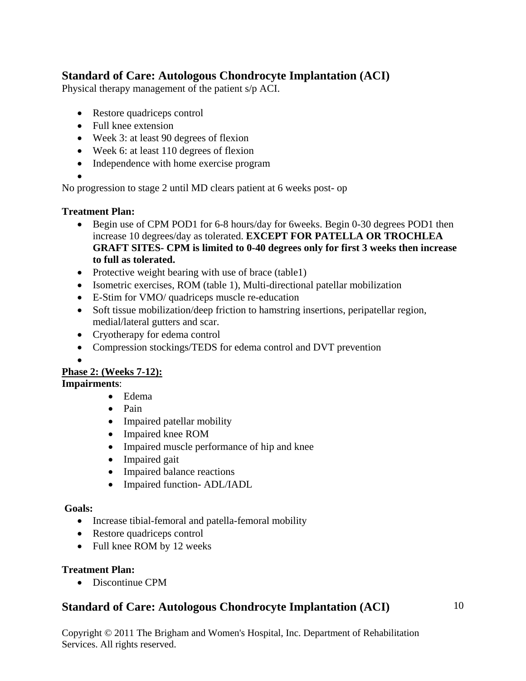Physical therapy management of the patient s/p ACI.

- Restore quadriceps control
- Full knee extension
- Week 3: at least 90 degrees of flexion
- Week 6: at least 110 degrees of flexion
- Independence with home exercise program

•

No progression to stage 2 until MD clears patient at 6 weeks post- op

### **Treatment Plan:**

- Begin use of CPM POD1 for 6-8 hours/day for 6weeks. Begin 0-30 degrees POD1 then increase 10 degrees/day as tolerated. **EXCEPT FOR PATELLA OR TROCHLEA GRAFT SITES- CPM is limited to 0-40 degrees only for first 3 weeks then increase to full as tolerated.**
- Protective weight bearing with use of brace (table1)
- Isometric exercises, ROM (table 1), Multi-directional patellar mobilization
- E-Stim for VMO/ quadriceps muscle re-education
- Soft tissue mobilization/deep friction to hamstring insertions, peripatellar region, medial/lateral gutters and scar.
- Cryotherapy for edema control
- Compression stockings/TEDS for edema control and DVT prevention

•

## **Phase 2: (Weeks 7-12):**

## **Impairments**:

- Edema
- Pain
- Impaired patellar mobility
- Impaired knee ROM
- Impaired muscle performance of hip and knee
- Impaired gait
- Impaired balance reactions
- Impaired function-ADL/IADL

### **Goals:**

- Increase tibial-femoral and patella-femoral mobility
- Restore quadriceps control
- Full knee ROM by 12 weeks

### **Treatment Plan:**

• Discontinue CPM

# **Standard of Care: Autologous Chondrocyte Implantation (ACI)**

10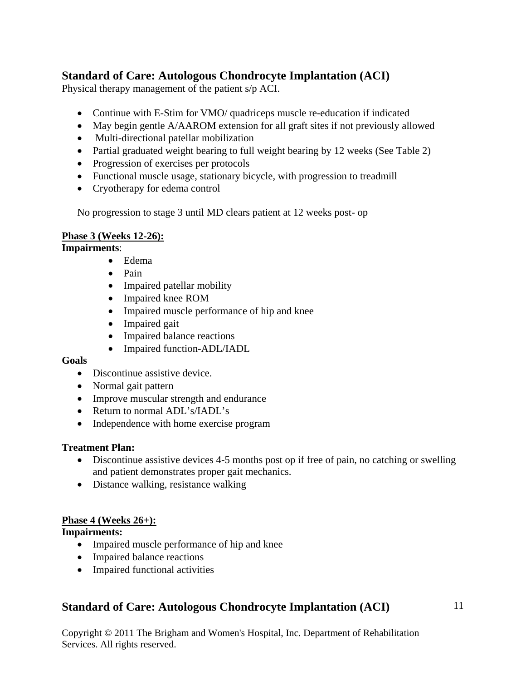Physical therapy management of the patient s/p ACI.

- Continue with E-Stim for VMO/ quadriceps muscle re-education if indicated
- May begin gentle A/AAROM extension for all graft sites if not previously allowed
- Multi-directional patellar mobilization
- Partial graduated weight bearing to full weight bearing by 12 weeks (See Table 2)
- Progression of exercises per protocols
- Functional muscle usage, stationary bicycle, with progression to treadmill
- Cryotherapy for edema control

No progression to stage 3 until MD clears patient at 12 weeks post- op

### **Phase 3 (Weeks 12-26):**

### **Impairments**:

- Edema
- Pain
- Impaired patellar mobility
- Impaired knee ROM
- Impaired muscle performance of hip and knee
- Impaired gait
- Impaired balance reactions
- Impaired function-ADL/IADL

### **Goals**

- Discontinue assistive device.
- Normal gait pattern
- Improve muscular strength and endurance
- Return to normal ADL's/IADL's
- Independence with home exercise program

### **Treatment Plan:**

- Discontinue assistive devices 4-5 months post op if free of pain, no catching or swelling and patient demonstrates proper gait mechanics.
- Distance walking, resistance walking

### **Phase 4 (Weeks 26+):**

**Impairments:** 

- Impaired muscle performance of hip and knee
- Impaired balance reactions
- Impaired functional activities

# **Standard of Care: Autologous Chondrocyte Implantation (ACI)**

11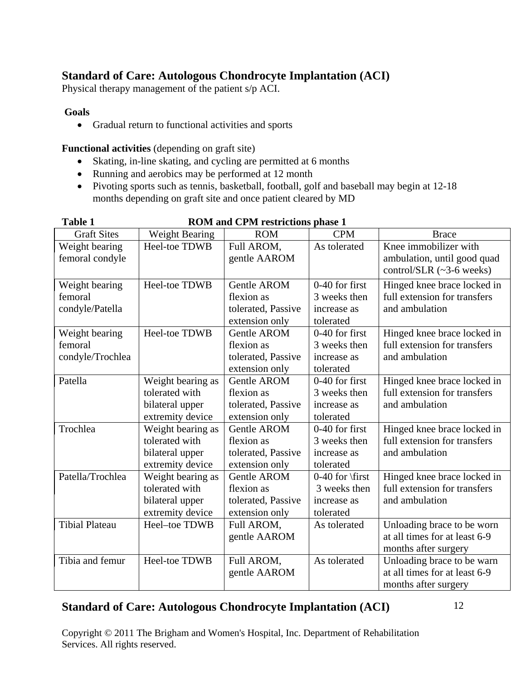Physical therapy management of the patient s/p ACI.

### **Goals**

• Gradual return to functional activities and sports

**Functional activities** (depending on graft site)

- Skating, in-line skating, and cycling are permitted at 6 months
- Running and aerobics may be performed at 12 month
- Pivoting sports such as tennis, basketball, football, golf and baseball may begin at 12-18 months depending on graft site and once patient cleared by MD

| 1 adie 1              |                       | RUINI and CPINI restrictions phase 1 |                   |                                |
|-----------------------|-----------------------|--------------------------------------|-------------------|--------------------------------|
| <b>Graft Sites</b>    | <b>Weight Bearing</b> | <b>ROM</b>                           | <b>CPM</b>        | <b>Brace</b>                   |
| Weight bearing        | Heel-toe TDWB         | Full AROM,                           | As tolerated      | Knee immobilizer with          |
| femoral condyle       |                       | gentle AAROM                         |                   | ambulation, until good quad    |
|                       |                       |                                      |                   | control/SLR $(\sim]3-6$ weeks) |
| Weight bearing        | Heel-toe TDWB         | Gentle AROM                          | 0-40 for first    | Hinged knee brace locked in    |
| femoral               |                       | flexion as                           | 3 weeks then      | full extension for transfers   |
| condyle/Patella       |                       | tolerated, Passive                   | increase as       | and ambulation                 |
|                       |                       | extension only                       | tolerated         |                                |
| Weight bearing        | Heel-toe TDWB         | <b>Gentle AROM</b>                   | $0-40$ for first  | Hinged knee brace locked in    |
| femoral               |                       | flexion as                           | 3 weeks then      | full extension for transfers   |
| condyle/Trochlea      |                       | tolerated, Passive                   | increase as       | and ambulation                 |
|                       |                       | extension only                       | tolerated         |                                |
| Patella               | Weight bearing as     | <b>Gentle AROM</b>                   | 0-40 for first    | Hinged knee brace locked in    |
|                       | tolerated with        | flexion as                           | 3 weeks then      | full extension for transfers   |
|                       | bilateral upper       | tolerated, Passive                   | increase as       | and ambulation                 |
|                       | extremity device      | extension only                       | tolerated         |                                |
| Trochlea              | Weight bearing as     | <b>Gentle AROM</b>                   | $0-40$ for first  | Hinged knee brace locked in    |
|                       | tolerated with        | flexion as                           | 3 weeks then      | full extension for transfers   |
|                       | bilateral upper       | tolerated, Passive                   | increase as       | and ambulation                 |
|                       | extremity device      | extension only                       | tolerated         |                                |
| Patella/Trochlea      | Weight bearing as     | <b>Gentle AROM</b>                   | $0-40$ for \first | Hinged knee brace locked in    |
|                       | tolerated with        | flexion as                           | 3 weeks then      | full extension for transfers   |
|                       | bilateral upper       | tolerated, Passive                   | increase as       | and ambulation                 |
|                       | extremity device      | extension only                       | tolerated         |                                |
| <b>Tibial Plateau</b> | Heel-toe TDWB         | Full AROM,                           | As tolerated      | Unloading brace to be worn     |
|                       |                       | gentle AAROM                         |                   | at all times for at least 6-9  |
|                       |                       |                                      |                   | months after surgery           |
| Tibia and femur       | Heel-toe TDWB         | Full AROM,                           | As tolerated      | Unloading brace to be warn     |
|                       |                       | gentle AAROM                         |                   | at all times for at least 6-9  |
|                       |                       |                                      |                   | months after surgery           |

# **Table 1 ROM and CPM restrictions phase 1**

# **Standard of Care: Autologous Chondrocyte Implantation (ACI)**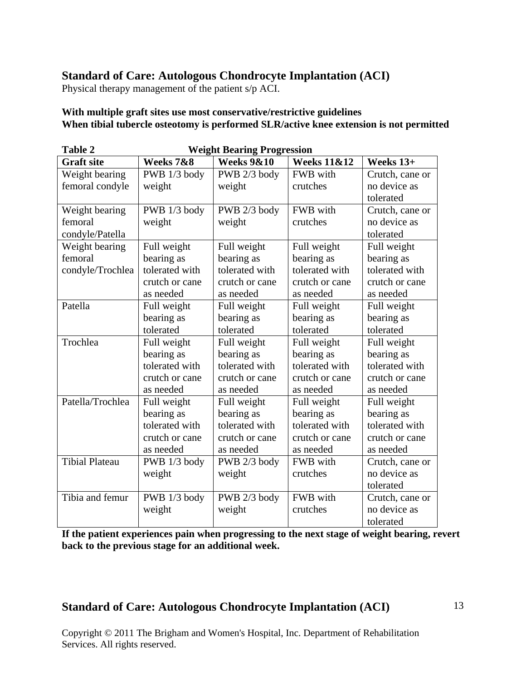Physical therapy management of the patient s/p ACI.

#### **With multiple graft sites use most conservative/restrictive guidelines When tibial tubercle osteotomy is performed SLR/active knee extension is not permitted**

| <b>Table 2</b>        | <b>Weight Bearing Progression</b> |                       |                        |                 |  |  |  |
|-----------------------|-----------------------------------|-----------------------|------------------------|-----------------|--|--|--|
| <b>Graft site</b>     | Weeks 7&8                         | <b>Weeks 9&amp;10</b> | <b>Weeks 11&amp;12</b> | Weeks 13+       |  |  |  |
| Weight bearing        | PWB 1/3 body                      | PWB 2/3 body          | FWB with               | Crutch, cane or |  |  |  |
| femoral condyle       | weight                            | weight                | crutches               | no device as    |  |  |  |
|                       |                                   |                       |                        | tolerated       |  |  |  |
| Weight bearing        | PWB 1/3 body                      | PWB 2/3 body          | FWB with               | Crutch, cane or |  |  |  |
| femoral               | weight                            | weight                | crutches               | no device as    |  |  |  |
| condyle/Patella       |                                   |                       |                        | tolerated       |  |  |  |
| Weight bearing        | Full weight                       | Full weight           | Full weight            | Full weight     |  |  |  |
| femoral               | bearing as                        | bearing as            | bearing as             | bearing as      |  |  |  |
| condyle/Trochlea      | tolerated with                    | tolerated with        | tolerated with         | tolerated with  |  |  |  |
|                       | crutch or cane                    | crutch or cane        | crutch or cane         | crutch or cane  |  |  |  |
|                       | as needed                         | as needed             | as needed              | as needed       |  |  |  |
| Patella               | Full weight                       | Full weight           | Full weight            | Full weight     |  |  |  |
|                       | bearing as                        | bearing as            | bearing as             | bearing as      |  |  |  |
|                       | tolerated                         | tolerated             | tolerated              | tolerated       |  |  |  |
| Trochlea              | Full weight                       | Full weight           | Full weight            | Full weight     |  |  |  |
|                       | bearing as                        | bearing as            | bearing as             | bearing as      |  |  |  |
|                       | tolerated with                    | tolerated with        | tolerated with         | tolerated with  |  |  |  |
|                       | crutch or cane                    | crutch or cane        | crutch or cane         | crutch or cane  |  |  |  |
|                       | as needed                         | as needed             | as needed              | as needed       |  |  |  |
| Patella/Trochlea      | Full weight                       | Full weight           | Full weight            | Full weight     |  |  |  |
|                       | bearing as                        | bearing as            | bearing as             | bearing as      |  |  |  |
|                       | tolerated with                    | tolerated with        | tolerated with         | tolerated with  |  |  |  |
|                       | crutch or cane                    | crutch or cane        | crutch or cane         | crutch or cane  |  |  |  |
|                       | as needed                         | as needed             | as needed              | as needed       |  |  |  |
| <b>Tibial Plateau</b> | PWB 1/3 body                      | PWB 2/3 body          | FWB with               | Crutch, cane or |  |  |  |
|                       | weight                            | weight                | crutches               | no device as    |  |  |  |
|                       |                                   |                       |                        | tolerated       |  |  |  |
| Tibia and femur       | PWB 1/3 body                      | PWB 2/3 body          | FWB with               | Crutch, cane or |  |  |  |
|                       | weight                            | weight                | crutches               | no device as    |  |  |  |
|                       |                                   |                       |                        | tolerated       |  |  |  |

**If the patient experiences pain when progressing to the next stage of weight bearing, revert back to the previous stage for an additional week.** 

# **Standard of Care: Autologous Chondrocyte Implantation (ACI)**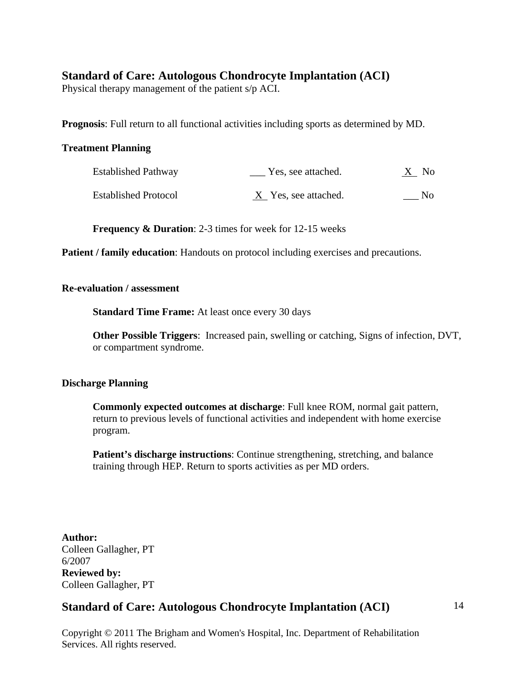Physical therapy management of the patient s/p ACI.

**Prognosis**: Full return to all functional activities including sports as determined by MD.

#### **Treatment Planning**

| <b>Established Pathway</b>  | Yes, see attached.   | $X$ No |
|-----------------------------|----------------------|--------|
| <b>Established Protocol</b> | X Yes, see attached. | No.    |

**Frequency & Duration**: 2-3 times for week for 12-15 weeks

**Patient / family education:** Handouts on protocol including exercises and precautions.

#### **Re-evaluation / assessment**

 **Standard Time Frame:** At least once every 30 days

**Other Possible Triggers**: Increased pain, swelling or catching, Signs of infection, DVT, or compartment syndrome.

#### **Discharge Planning**

**Commonly expected outcomes at discharge**: Full knee ROM, normal gait pattern, return to previous levels of functional activities and independent with home exercise program.

**Patient's discharge instructions**: Continue strengthening, stretching, and balance training through HEP. Return to sports activities as per MD orders.

**Author:**  Colleen Gallagher, PT 6/2007 **Reviewed by:**  Colleen Gallagher, PT

## **Standard of Care: Autologous Chondrocyte Implantation (ACI)**

14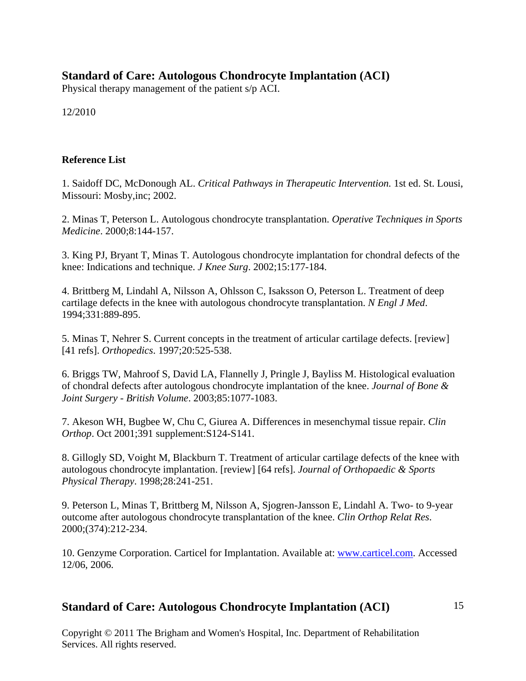Physical therapy management of the patient s/p ACI.

12/2010

#### **Reference List**

1. Saidoff DC, McDonough AL. *Critical Pathways in Therapeutic Intervention.* 1st ed. St. Lousi, Missouri: Mosby,inc; 2002.

2. Minas T, Peterson L. Autologous chondrocyte transplantation. *Operative Techniques in Sports Medicine*. 2000;8:144-157.

3. King PJ, Bryant T, Minas T. Autologous chondrocyte implantation for chondral defects of the knee: Indications and technique. *J Knee Surg*. 2002;15:177-184.

4. Brittberg M, Lindahl A, Nilsson A, Ohlsson C, Isaksson O, Peterson L. Treatment of deep cartilage defects in the knee with autologous chondrocyte transplantation. *N Engl J Med*. 1994;331:889-895.

5. Minas T, Nehrer S. Current concepts in the treatment of articular cartilage defects. [review] [41 refs]. *Orthopedics*. 1997;20:525-538.

6. Briggs TW, Mahroof S, David LA, Flannelly J, Pringle J, Bayliss M. Histological evaluation of chondral defects after autologous chondrocyte implantation of the knee. *Journal of Bone & Joint Surgery - British Volume*. 2003;85:1077-1083.

7. Akeson WH, Bugbee W, Chu C, Giurea A. Differences in mesenchymal tissue repair. *Clin Orthop*. Oct 2001;391 supplement:S124-S141.

8. Gillogly SD, Voight M, Blackburn T. Treatment of articular cartilage defects of the knee with autologous chondrocyte implantation. [review] [64 refs]. *Journal of Orthopaedic & Sports Physical Therapy*. 1998;28:241-251.

9. Peterson L, Minas T, Brittberg M, Nilsson A, Sjogren-Jansson E, Lindahl A. Two- to 9-year outcome after autologous chondrocyte transplantation of the knee. *Clin Orthop Relat Res*. 2000;(374):212-234.

10. Genzyme Corporation. Carticel for Implantation. Available at: www.carticel.com. Accessed 12/06, 2006.

## **Standard of Care: Autologous Chondrocyte Implantation (ACI)**

15